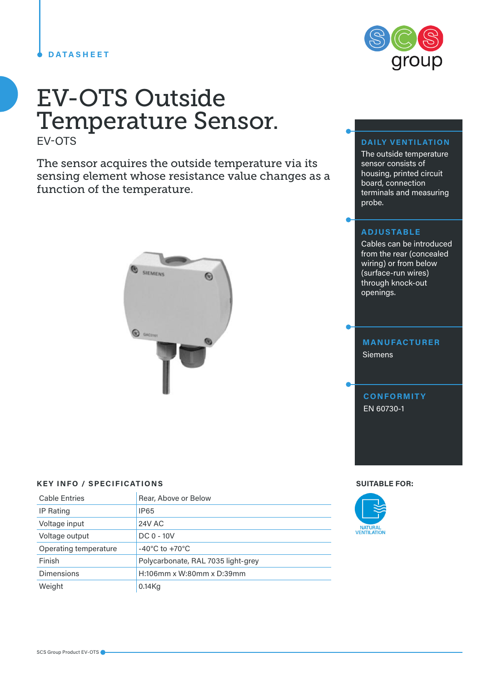#### **DATASHEET**

## EV-OTS Outside Temperature Sensor. EV-OTS

The sensor acquires the outside temperature via its sensing element whose resistance value changes as a function of the temperature.



#### **KEY INFO / SPECIFICATIONS SUITABLE FOR:**

| <b>Cable Entries</b>  | Rear, Above or Below               |
|-----------------------|------------------------------------|
| IP Rating             | <b>IP65</b>                        |
| Voltage input         | 24V AC                             |
| Voltage output        | $DC 0 - 10V$                       |
| Operating temperature | $-40^{\circ}$ C to $+70^{\circ}$ C |
| Finish                | Polycarbonate, RAL 7035 light-grey |
| Dimensions            | $H:106$ mm x W:80mm x D:39mm       |
| Weight                | $0.14$ Kg                          |



### **DAILY VENTILATION**

The outside temperature sensor consists of housing, printed circuit board, connection terminals and measuring probe.

#### **ADJUSTABLE**

Cables can be introduced from the rear (concealed wiring) or from below (surface-run wires) through knock-out openings.

# **MANUFACTURER** Siemens

**CONFORMITY** EN 60730-1